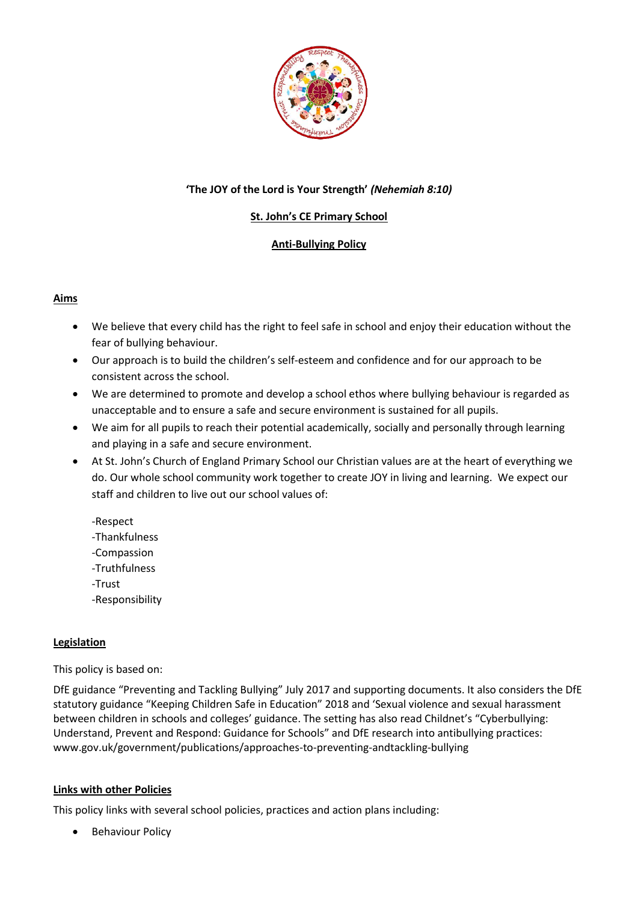

# **'The JOY of the Lord is Your Strength'** *(Nehemiah 8:10)*

# **St. John's CE Primary School**

# **Anti-Bullying Policy**

### **Aims**

- We believe that every child has the right to feel safe in school and enjoy their education without the fear of bullying behaviour.
- Our approach is to build the children's self-esteem and confidence and for our approach to be consistent across the school.
- We are determined to promote and develop a school ethos where bullying behaviour is regarded as unacceptable and to ensure a safe and secure environment is sustained for all pupils.
- We aim for all pupils to reach their potential academically, socially and personally through learning and playing in a safe and secure environment.
- At St. John's Church of England Primary School our Christian values are at the heart of everything we do. Our whole school community work together to create JOY in living and learning. We expect our staff and children to live out our school values of:
	- -Respect
	- -Thankfulness
	- -Compassion
	- -Truthfulness
	- -Trust
	- -Responsibility

#### **Legislation**

#### This policy is based on:

DfE guidance "Preventing and Tackling Bullying" July 2017 and supporting documents. It also considers the DfE statutory guidance "Keeping Children Safe in Education" 2018 and 'Sexual violence and sexual harassment between children in schools and colleges' guidance. The setting has also read Childnet's "Cyberbullying: Understand, Prevent and Respond: Guidance for Schools" and DfE research into antibullying practices: www.gov.uk/government/publications/approaches-to-preventing-andtackling-bullying

#### **Links with other Policies**

This policy links with several school policies, practices and action plans including:

**•** Behaviour Policy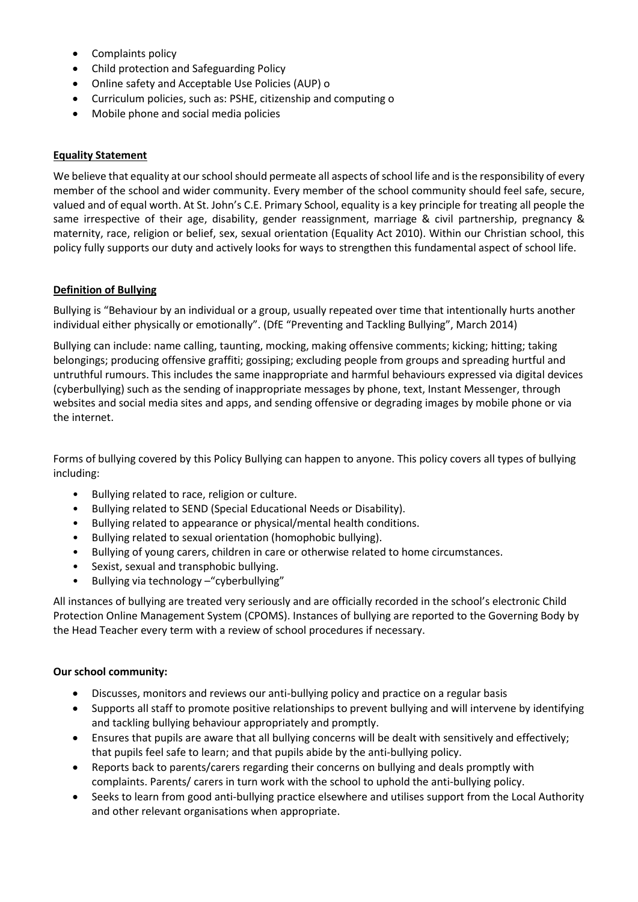- Complaints policy
- Child protection and Safeguarding Policy
- Online safety and Acceptable Use Policies (AUP) o
- Curriculum policies, such as: PSHE, citizenship and computing o
- Mobile phone and social media policies

### **Equality Statement**

We believe that equality at our school should permeate all aspects of school life and is the responsibility of every member of the school and wider community. Every member of the school community should feel safe, secure, valued and of equal worth. At St. John's C.E. Primary School, equality is a key principle for treating all people the same irrespective of their age, disability, gender reassignment, marriage & civil partnership, pregnancy & maternity, race, religion or belief, sex, sexual orientation (Equality Act 2010). Within our Christian school, this policy fully supports our duty and actively looks for ways to strengthen this fundamental aspect of school life.

### **Definition of Bullying**

Bullying is "Behaviour by an individual or a group, usually repeated over time that intentionally hurts another individual either physically or emotionally". (DfE "Preventing and Tackling Bullying", March 2014)

Bullying can include: name calling, taunting, mocking, making offensive comments; kicking; hitting; taking belongings; producing offensive graffiti; gossiping; excluding people from groups and spreading hurtful and untruthful rumours. This includes the same inappropriate and harmful behaviours expressed via digital devices (cyberbullying) such as the sending of inappropriate messages by phone, text, Instant Messenger, through websites and social media sites and apps, and sending offensive or degrading images by mobile phone or via the internet.

Forms of bullying covered by this Policy Bullying can happen to anyone. This policy covers all types of bullying including:

- Bullying related to race, religion or culture.
- Bullying related to SEND (Special Educational Needs or Disability).
- Bullying related to appearance or physical/mental health conditions.
- Bullying related to sexual orientation (homophobic bullying).
- Bullying of young carers, children in care or otherwise related to home circumstances.
- Sexist, sexual and transphobic bullying.
- Bullying via technology –"cyberbullying"

All instances of bullying are treated very seriously and are officially recorded in the school's electronic Child Protection Online Management System (CPOMS). Instances of bullying are reported to the Governing Body by the Head Teacher every term with a review of school procedures if necessary.

#### **Our school community:**

- Discusses, monitors and reviews our anti-bullying policy and practice on a regular basis
- Supports all staff to promote positive relationships to prevent bullying and will intervene by identifying and tackling bullying behaviour appropriately and promptly.
- Ensures that pupils are aware that all bullying concerns will be dealt with sensitively and effectively; that pupils feel safe to learn; and that pupils abide by the anti-bullying policy.
- Reports back to parents/carers regarding their concerns on bullying and deals promptly with complaints. Parents/ carers in turn work with the school to uphold the anti-bullying policy.
- Seeks to learn from good anti-bullying practice elsewhere and utilises support from the Local Authority and other relevant organisations when appropriate.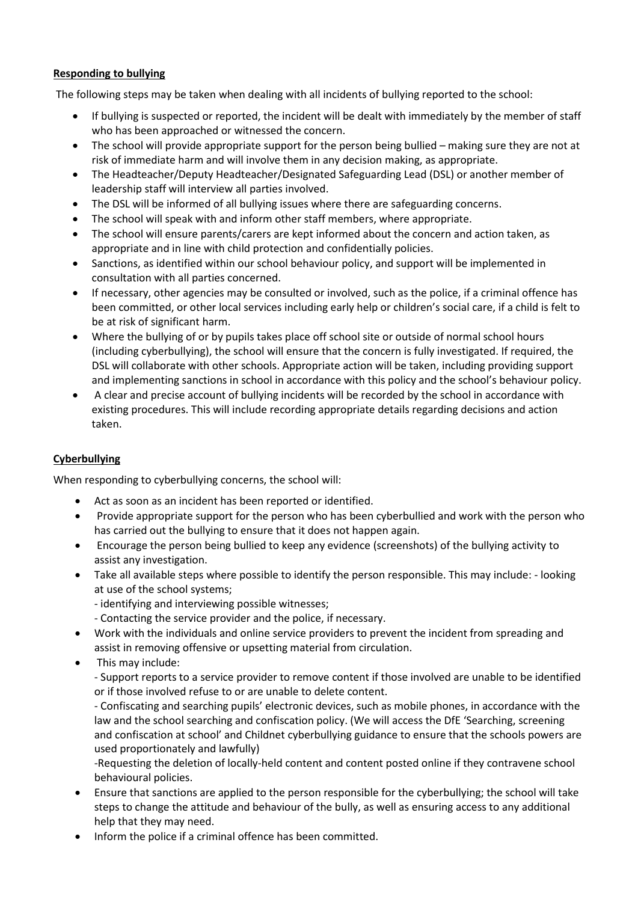# **Responding to bullying**

The following steps may be taken when dealing with all incidents of bullying reported to the school:

- If bullying is suspected or reported, the incident will be dealt with immediately by the member of staff who has been approached or witnessed the concern.
- The school will provide appropriate support for the person being bullied making sure they are not at risk of immediate harm and will involve them in any decision making, as appropriate.
- The Headteacher/Deputy Headteacher/Designated Safeguarding Lead (DSL) or another member of leadership staff will interview all parties involved.
- The DSL will be informed of all bullying issues where there are safeguarding concerns.
- The school will speak with and inform other staff members, where appropriate.
- The school will ensure parents/carers are kept informed about the concern and action taken, as appropriate and in line with child protection and confidentially policies.
- Sanctions, as identified within our school behaviour policy, and support will be implemented in consultation with all parties concerned.
- If necessary, other agencies may be consulted or involved, such as the police, if a criminal offence has been committed, or other local services including early help or children's social care, if a child is felt to be at risk of significant harm.
- Where the bullying of or by pupils takes place off school site or outside of normal school hours (including cyberbullying), the school will ensure that the concern is fully investigated. If required, the DSL will collaborate with other schools. Appropriate action will be taken, including providing support and implementing sanctions in school in accordance with this policy and the school's behaviour policy.
- A clear and precise account of bullying incidents will be recorded by the school in accordance with existing procedures. This will include recording appropriate details regarding decisions and action taken.

# **Cyberbullying**

When responding to cyberbullying concerns, the school will:

- Act as soon as an incident has been reported or identified.
- Provide appropriate support for the person who has been cyberbullied and work with the person who has carried out the bullying to ensure that it does not happen again.
- Encourage the person being bullied to keep any evidence (screenshots) of the bullying activity to assist any investigation.
- Take all available steps where possible to identify the person responsible. This may include: looking at use of the school systems;
	- identifying and interviewing possible witnesses;
	- Contacting the service provider and the police, if necessary.
- Work with the individuals and online service providers to prevent the incident from spreading and assist in removing offensive or upsetting material from circulation.
- This may include:

- Support reports to a service provider to remove content if those involved are unable to be identified or if those involved refuse to or are unable to delete content.

- Confiscating and searching pupils' electronic devices, such as mobile phones, in accordance with the law and the school searching and confiscation policy. (We will access the DfE 'Searching, screening and confiscation at school' and Childnet cyberbullying guidance to ensure that the schools powers are used proportionately and lawfully)

-Requesting the deletion of locally-held content and content posted online if they contravene school behavioural policies.

- Ensure that sanctions are applied to the person responsible for the cyberbullying; the school will take steps to change the attitude and behaviour of the bully, as well as ensuring access to any additional help that they may need.
- Inform the police if a criminal offence has been committed.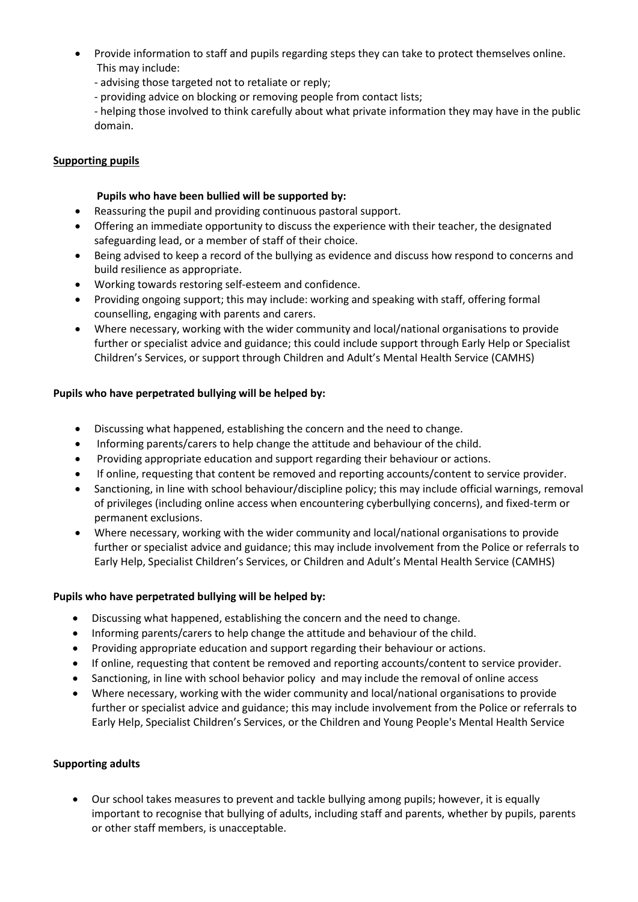- Provide information to staff and pupils regarding steps they can take to protect themselves online. This may include:
	- advising those targeted not to retaliate or reply;
	- providing advice on blocking or removing people from contact lists;

- helping those involved to think carefully about what private information they may have in the public domain.

### **Supporting pupils**

### **Pupils who have been bullied will be supported by:**

- Reassuring the pupil and providing continuous pastoral support.
- Offering an immediate opportunity to discuss the experience with their teacher, the designated safeguarding lead, or a member of staff of their choice.
- Being advised to keep a record of the bullying as evidence and discuss how respond to concerns and build resilience as appropriate.
- Working towards restoring self-esteem and confidence.
- Providing ongoing support; this may include: working and speaking with staff, offering formal counselling, engaging with parents and carers.
- Where necessary, working with the wider community and local/national organisations to provide further or specialist advice and guidance; this could include support through Early Help or Specialist Children's Services, or support through Children and Adult's Mental Health Service (CAMHS)

# **Pupils who have perpetrated bullying will be helped by:**

- Discussing what happened, establishing the concern and the need to change.
- Informing parents/carers to help change the attitude and behaviour of the child.
- Providing appropriate education and support regarding their behaviour or actions.
- If online, requesting that content be removed and reporting accounts/content to service provider.
- Sanctioning, in line with school behaviour/discipline policy; this may include official warnings, removal of privileges (including online access when encountering cyberbullying concerns), and fixed-term or permanent exclusions.
- Where necessary, working with the wider community and local/national organisations to provide further or specialist advice and guidance; this may include involvement from the Police or referrals to Early Help, Specialist Children's Services, or Children and Adult's Mental Health Service (CAMHS)

#### **Pupils who have perpetrated bullying will be helped by:**

- Discussing what happened, establishing the concern and the need to change.
- Informing parents/carers to help change the attitude and behaviour of the child.
- Providing appropriate education and support regarding their behaviour or actions.
- If online, requesting that content be removed and reporting accounts/content to service provider.
- Sanctioning, in line with school behavior policy and may include the removal of online access
- Where necessary, working with the wider community and local/national organisations to provide further or specialist advice and guidance; this may include involvement from the Police or referrals to Early Help, Specialist Children's Services, or the Children and Young People's Mental Health Service

#### **Supporting adults**

 Our school takes measures to prevent and tackle bullying among pupils; however, it is equally important to recognise that bullying of adults, including staff and parents, whether by pupils, parents or other staff members, is unacceptable.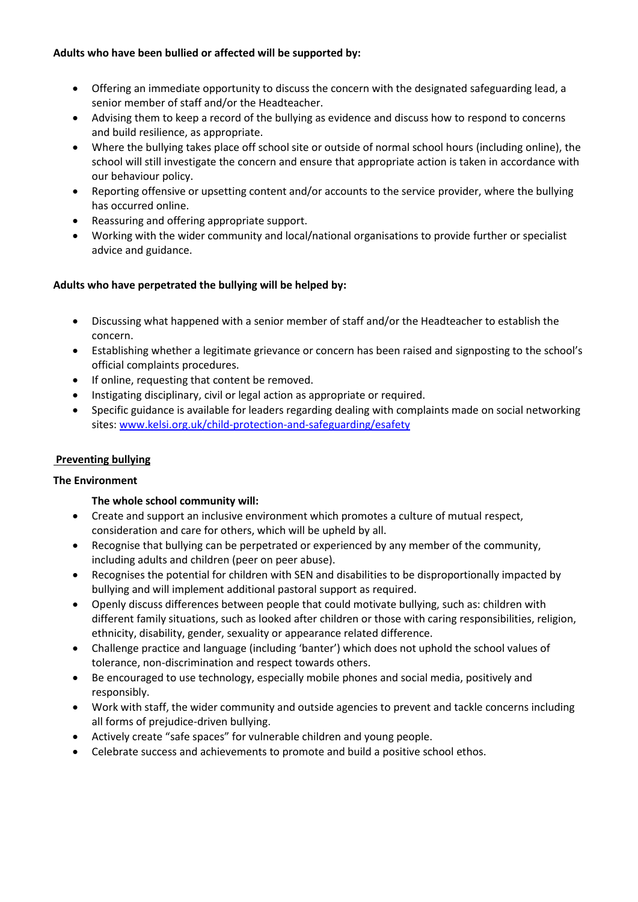### **Adults who have been bullied or affected will be supported by:**

- Offering an immediate opportunity to discuss the concern with the designated safeguarding lead, a senior member of staff and/or the Headteacher.
- Advising them to keep a record of the bullying as evidence and discuss how to respond to concerns and build resilience, as appropriate.
- Where the bullying takes place off school site or outside of normal school hours (including online), the school will still investigate the concern and ensure that appropriate action is taken in accordance with our behaviour policy.
- Reporting offensive or upsetting content and/or accounts to the service provider, where the bullying has occurred online.
- Reassuring and offering appropriate support.
- Working with the wider community and local/national organisations to provide further or specialist advice and guidance.

# **Adults who have perpetrated the bullying will be helped by:**

- Discussing what happened with a senior member of staff and/or the Headteacher to establish the concern.
- Establishing whether a legitimate grievance or concern has been raised and signposting to the school's official complaints procedures.
- If online, requesting that content be removed.
- Instigating disciplinary, civil or legal action as appropriate or required.
- Specific guidance is available for leaders regarding dealing with complaints made on social networking sites[: www.kelsi.org.uk/child-protection-and-safeguarding/esafety](http://www.kelsi.org.uk/child-protection-and-safeguarding/esafety)

# **Preventing bullying**

# **The Environment**

# **The whole school community will:**

- Create and support an inclusive environment which promotes a culture of mutual respect, consideration and care for others, which will be upheld by all.
- Recognise that bullying can be perpetrated or experienced by any member of the community, including adults and children (peer on peer abuse).
- Recognises the potential for children with SEN and disabilities to be disproportionally impacted by bullying and will implement additional pastoral support as required.
- Openly discuss differences between people that could motivate bullying, such as: children with different family situations, such as looked after children or those with caring responsibilities, religion, ethnicity, disability, gender, sexuality or appearance related difference.
- Challenge practice and language (including 'banter') which does not uphold the school values of tolerance, non-discrimination and respect towards others.
- Be encouraged to use technology, especially mobile phones and social media, positively and responsibly.
- Work with staff, the wider community and outside agencies to prevent and tackle concerns including all forms of prejudice-driven bullying.
- Actively create "safe spaces" for vulnerable children and young people.
- Celebrate success and achievements to promote and build a positive school ethos.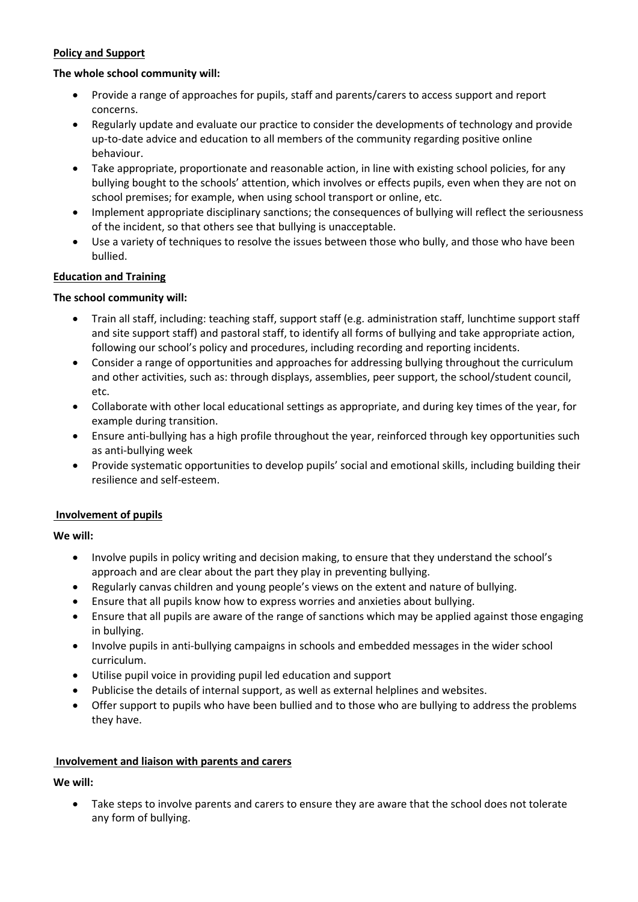# **Policy and Support**

### **The whole school community will:**

- Provide a range of approaches for pupils, staff and parents/carers to access support and report concerns.
- Regularly update and evaluate our practice to consider the developments of technology and provide up-to-date advice and education to all members of the community regarding positive online behaviour.
- Take appropriate, proportionate and reasonable action, in line with existing school policies, for any bullying bought to the schools' attention, which involves or effects pupils, even when they are not on school premises; for example, when using school transport or online, etc.
- Implement appropriate disciplinary sanctions; the consequences of bullying will reflect the seriousness of the incident, so that others see that bullying is unacceptable.
- Use a variety of techniques to resolve the issues between those who bully, and those who have been bullied.

# **Education and Training**

# **The school community will:**

- Train all staff, including: teaching staff, support staff (e.g. administration staff, lunchtime support staff and site support staff) and pastoral staff, to identify all forms of bullying and take appropriate action, following our school's policy and procedures, including recording and reporting incidents.
- Consider a range of opportunities and approaches for addressing bullying throughout the curriculum and other activities, such as: through displays, assemblies, peer support, the school/student council, etc.
- Collaborate with other local educational settings as appropriate, and during key times of the year, for example during transition.
- Ensure anti-bullying has a high profile throughout the year, reinforced through key opportunities such as anti-bullying week
- Provide systematic opportunities to develop pupils' social and emotional skills, including building their resilience and self-esteem.

# **Involvement of pupils**

**We will:**

- Involve pupils in policy writing and decision making, to ensure that they understand the school's approach and are clear about the part they play in preventing bullying.
- Regularly canvas children and young people's views on the extent and nature of bullying.
- Ensure that all pupils know how to express worries and anxieties about bullying.
- Ensure that all pupils are aware of the range of sanctions which may be applied against those engaging in bullying.
- Involve pupils in anti-bullying campaigns in schools and embedded messages in the wider school curriculum.
- Utilise pupil voice in providing pupil led education and support
- Publicise the details of internal support, as well as external helplines and websites.
- Offer support to pupils who have been bullied and to those who are bullying to address the problems they have.

# **Involvement and liaison with parents and carers**

**We will:**

 Take steps to involve parents and carers to ensure they are aware that the school does not tolerate any form of bullying.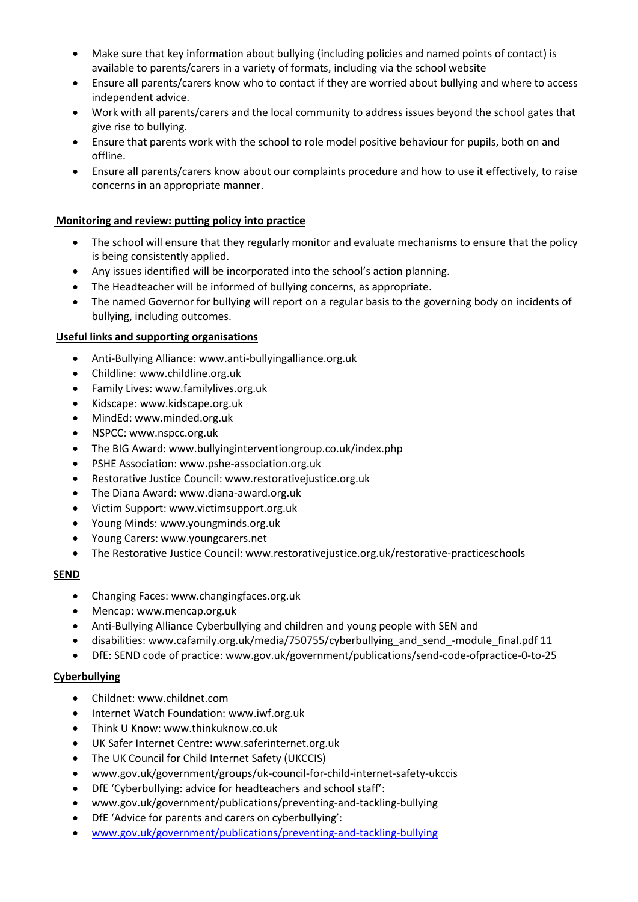- Make sure that key information about bullying (including policies and named points of contact) is available to parents/carers in a variety of formats, including via the school website
- Ensure all parents/carers know who to contact if they are worried about bullying and where to access independent advice.
- Work with all parents/carers and the local community to address issues beyond the school gates that give rise to bullying.
- Ensure that parents work with the school to role model positive behaviour for pupils, both on and offline.
- Ensure all parents/carers know about our complaints procedure and how to use it effectively, to raise concerns in an appropriate manner.

### **Monitoring and review: putting policy into practice**

- The school will ensure that they regularly monitor and evaluate mechanisms to ensure that the policy is being consistently applied.
- Any issues identified will be incorporated into the school's action planning.
- The Headteacher will be informed of bullying concerns, as appropriate.
- The named Governor for bullying will report on a regular basis to the governing body on incidents of bullying, including outcomes.

#### **Useful links and supporting organisations**

- Anti-Bullying Alliance: www.anti-bullyingalliance.org.uk
- Childline: www.childline.org.uk
- Family Lives: www.familylives.org.uk
- Kidscape: www.kidscape.org.uk
- MindEd: www.minded.org.uk
- NSPCC: www.nspcc.org.uk
- The BIG Award: www.bullyinginterventiongroup.co.uk/index.php
- PSHE Association: www.pshe-association.org.uk
- Restorative Justice Council: www.restorativejustice.org.uk
- The Diana Award: www.diana-award.org.uk
- Victim Support: www.victimsupport.org.uk
- Young Minds: www.youngminds.org.uk
- Young Carers: www.youngcarers.net
- The Restorative Justice Council: www.restorativejustice.org.uk/restorative-practiceschools

#### **SEND**

- Changing Faces: www.changingfaces.org.uk
- Mencap: www.mencap.org.uk
- Anti-Bullying Alliance Cyberbullying and children and young people with SEN and
- disabilities: www.cafamily.org.uk/media/750755/cyberbullying\_and\_send\_-module\_final.pdf 11
- DfE: SEND code of practice: www.gov.uk/government/publications/send-code-ofpractice-0-to-25

#### **Cyberbullying**

- Childnet: www.childnet.com
- Internet Watch Foundation: www.iwf.org.uk
- Think U Know: www.thinkuknow.co.uk
- UK Safer Internet Centre: www.saferinternet.org.uk
- The UK Council for Child Internet Safety (UKCCIS)
- www.gov.uk/government/groups/uk-council-for-child-internet-safety-ukccis
- DfE 'Cyberbullying: advice for headteachers and school staff':
- www.gov.uk/government/publications/preventing-and-tackling-bullying
- DfE 'Advice for parents and carers on cyberbullying':
- [www.gov.uk/government/publications/preventing-and-tackling-bullying](http://www.gov.uk/government/publications/preventing-and-tackling-bullying)